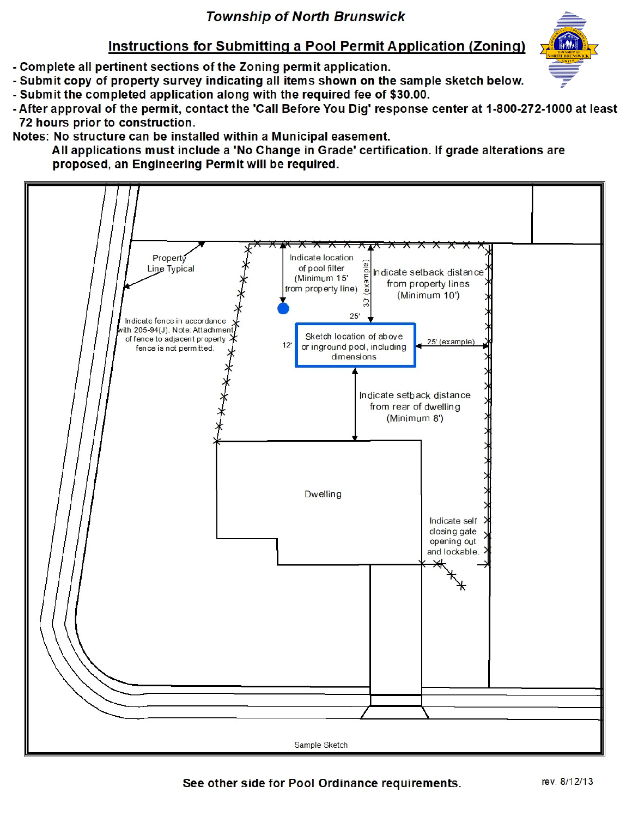## **Township of North Brunswick**

## Instructions for Submitting a Pool Permit Application (Zoning)

- Complete all pertinent sections of the Zoning permit application.
- Submit copy of property survey indicating all items shown on the sample sketch below.
- Submit the completed application along with the required fee of \$30.00.
- After approval of the permit, contact the 'Call Before You Dig' response center at 1-800-272-1000 at least 72 hours prior to construction.

Notes: No structure can be installed within a Municipal easement.

All applications must include a 'No Change in Grade' certification. If grade alterations are proposed, an Engineering Permit will be required.





See other side for Pool Ordinance requirements.